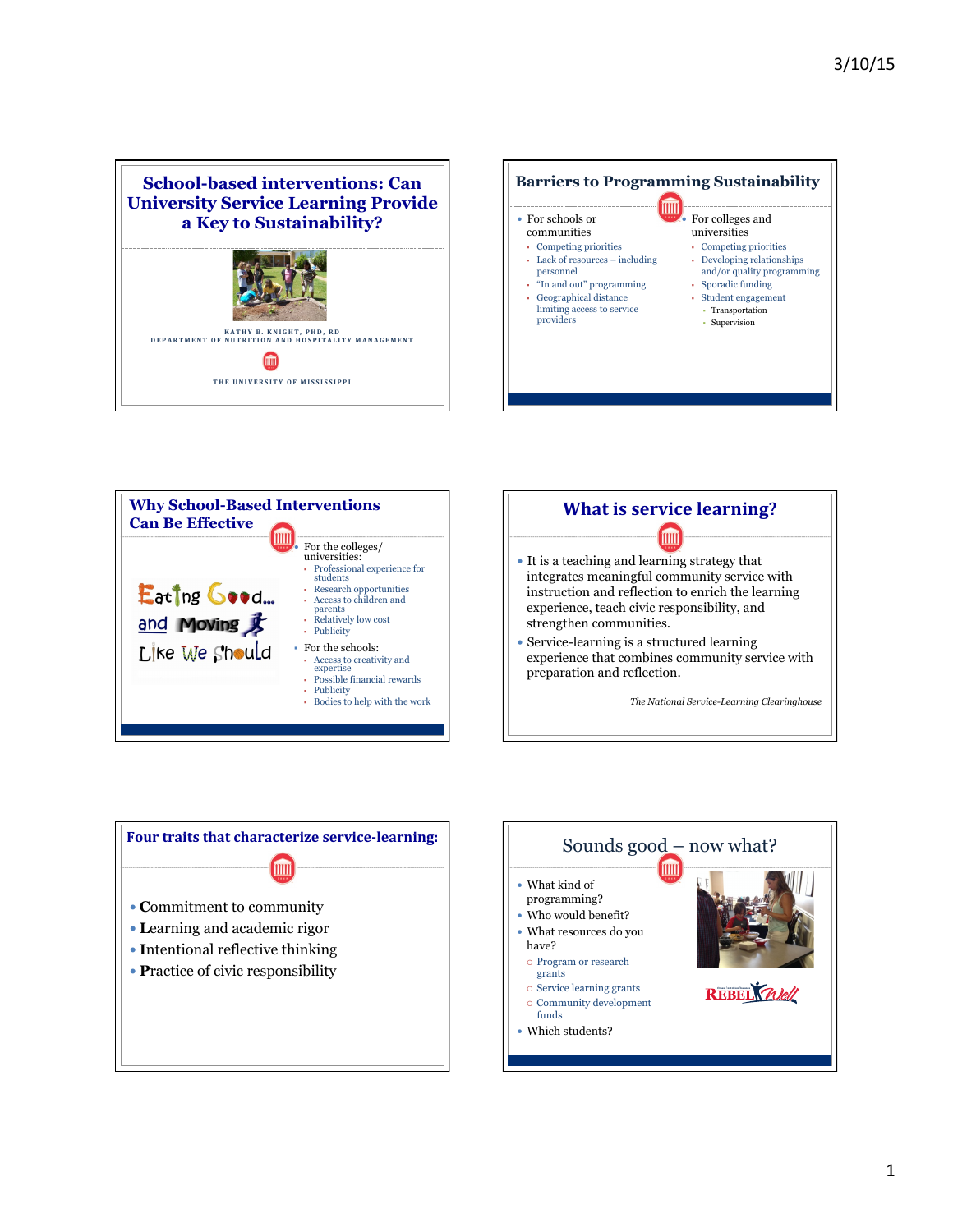









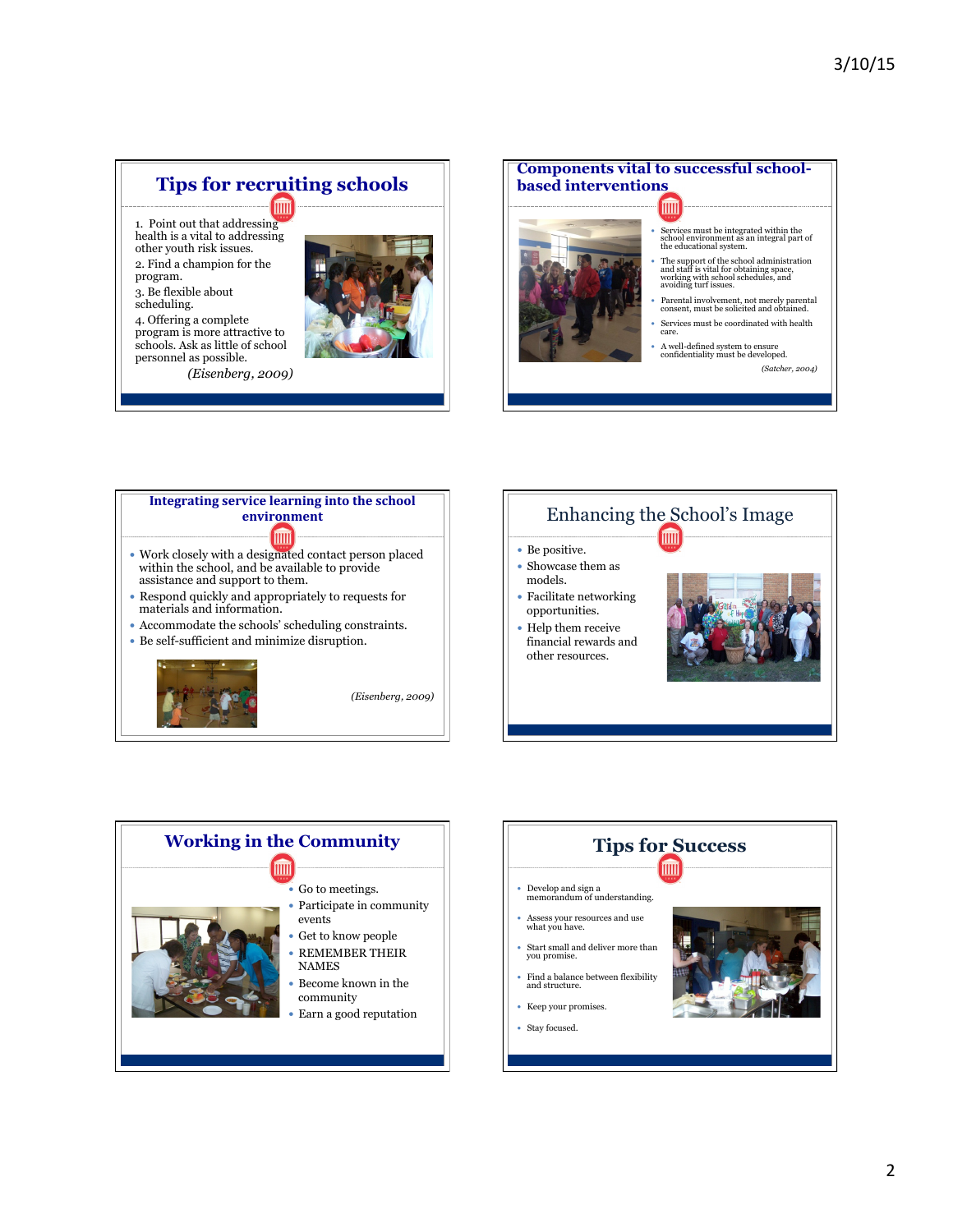## **Tips for recruiting schools m**

1. Point out that addressing health is a vital to addressing other youth risk issues.

2. Find a champion for the program.

3. Be flexible about scheduling.

4. Offering a complete program is more attractive to schools. Ask as little of school personnel as possible.

*(Eisenberg, 2009)* 



**Components vital to successful schoolbased interventions**  酾 Services must be integrated within the school environment as an integral part of the educational system. The support of the school administration and staff is vital for obtaining space, working with school schedules, and avoiding turf issues. Parental involvement, not merely parental consent, must be solicited and obtained. Services must be coordinated with health care.

A well-defined system to ensure confidentiality must be developed.

*(Satcher, 2004)*